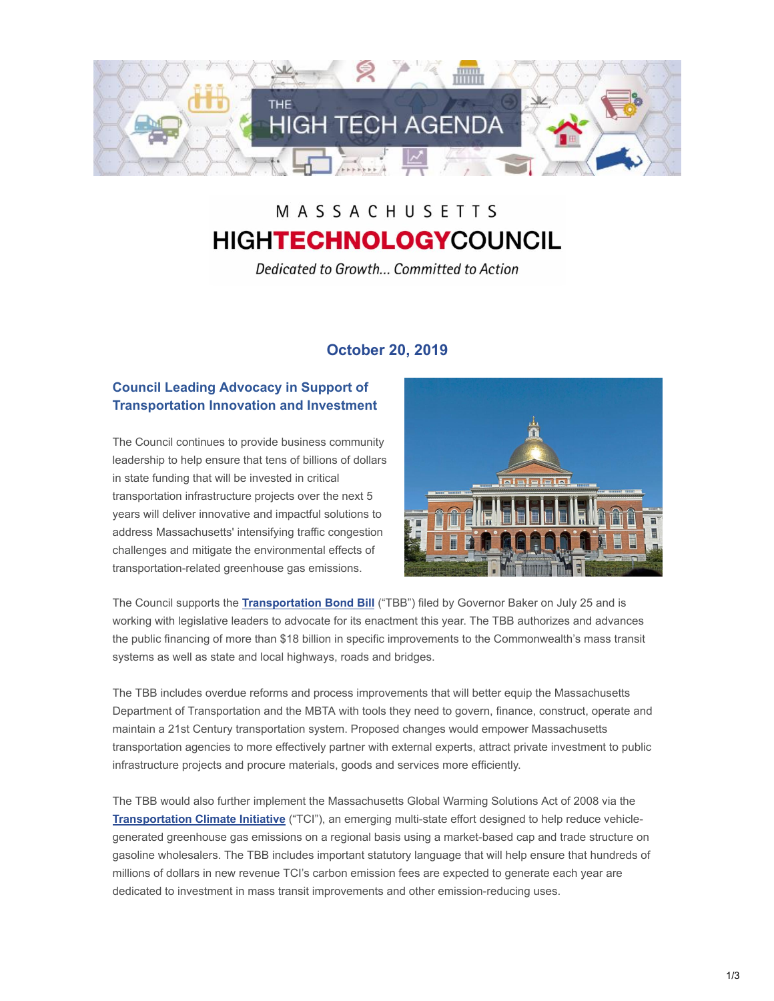

# MASSACHUSETTS **HIGHTECHNOLOGYCOUNCIL**

Dedicated to Growth... Committed to Action

## **October 20, 2019**

## **Council Leading Advocacy in Support of Transportation Innovation and Investment**

The Council continues to provide business community leadership to help ensure that tens of billions of dollars in state funding that will be invested in critical transportation infrastructure projects over the next 5 years will deliver innovative and impactful solutions to address Massachusetts' intensifying traffic congestion challenges and mitigate the environmental effects of transportation-related greenhouse gas emissions.



The Council supports the **[Transportation Bond Bill](https://malegislature.gov/Bills/191/H4002)** ("TBB") filed by Governor Baker on July 25 and is working with legislative leaders to advocate for its enactment this year. The TBB authorizes and advances the public financing of more than \$18 billion in specific improvements to the Commonwealth's mass transit systems as well as state and local highways, roads and bridges.

The TBB includes overdue reforms and process improvements that will better equip the Massachusetts Department of Transportation and the MBTA with tools they need to govern, finance, construct, operate and maintain a 21st Century transportation system. Proposed changes would empower Massachusetts transportation agencies to more effectively partner with external experts, attract private investment to public infrastructure projects and procure materials, goods and services more efficiently.

The TBB would also further implement the Massachusetts Global Warming Solutions Act of 2008 via the **[Transportation Climate Initiative](https://www.mass.gov/news/commonwealth-joins-regional-states-to-reduce-transportation-emissions)** ("TCI"), an emerging multi-state effort designed to help reduce vehiclegenerated greenhouse gas emissions on a regional basis using a market-based cap and trade structure on gasoline wholesalers. The TBB includes important statutory language that will help ensure that hundreds of millions of dollars in new revenue TCI's carbon emission fees are expected to generate each year are dedicated to investment in mass transit improvements and other emission-reducing uses.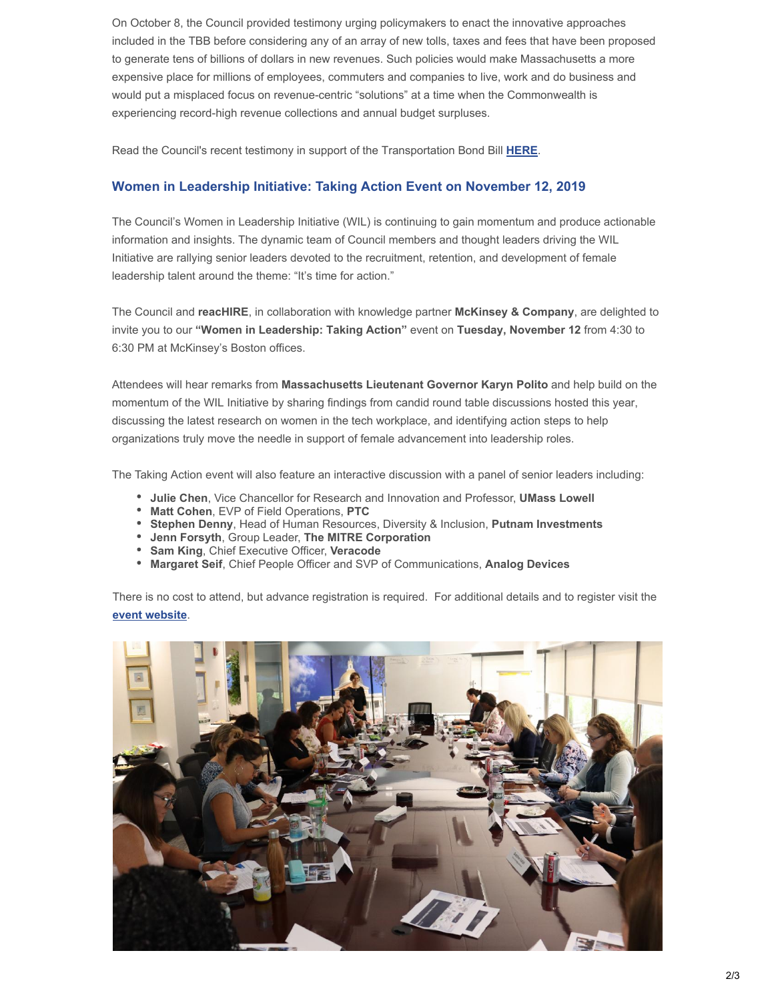On October 8, the Council provided testimony urging policymakers to enact the innovative approaches included in the TBB before considering any of an array of new tolls, taxes and fees that have been proposed to generate tens of billions of dollars in new revenues. Such policies would make Massachusetts a more expensive place for millions of employees, commuters and companies to live, work and do business and would put a misplaced focus on revenue-centric "solutions" at a time when the Commonwealth is experiencing record-high revenue collections and annual budget surpluses.

Read the Council's recent testimony in support of the Transportation Bond Bill **[HERE](http://www.mhtc.org/wp-content/uploads/2019/10/MHTC-Testimony-on-House-Bill-4002-10.8.19.pdf)**.

### **Women in Leadership Initiative: Taking Action Event on November 12, 2019**

The Council's Women in Leadership Initiative (WIL) is continuing to gain momentum and produce actionable information and insights. The dynamic team of Council members and thought leaders driving the WIL Initiative are rallying senior leaders devoted to the recruitment, retention, and development of female leadership talent around the theme: "It's time for action."

The Council and **reacHIRE**, in collaboration with knowledge partner **McKinsey & Company**, are delighted to invite you to our **"Women in Leadership: Taking Action"** event on **Tuesday, November 12** from 4:30 to 6:30 PM at McKinsey's Boston offices.

Attendees will hear remarks from **Massachusetts Lieutenant Governor Karyn Polito** and help build on the momentum of the WIL Initiative by sharing findings from candid round table discussions hosted this year, discussing the latest research on women in the tech workplace, and identifying action steps to help organizations truly move the needle in support of female advancement into leadership roles.

The Taking Action event will also feature an interactive discussion with a panel of senior leaders including:

- **Julie Chen**, Vice Chancellor for Research and Innovation and Professor, **UMass Lowell**
- **Matt Cohen**, EVP of Field Operations, **PTC**
- **Stephen Denny**, Head of Human Resources, Diversity & Inclusion, **Putnam Investments**
- **Jenn Forsyth**, Group Leader, **The MITRE Corporation**
- **Sam King**, Chief Executive Officer, **Veracode**
- **Margaret Seif**, Chief People Officer and SVP of Communications, **Analog Devices**

There is no cost to attend, but advance registration is required. For additional details and to register visit the **[event website](https://broadcast.mckinsey.com/83/1997/landing-pages/women-in-leadership--taking-action.asp)**.